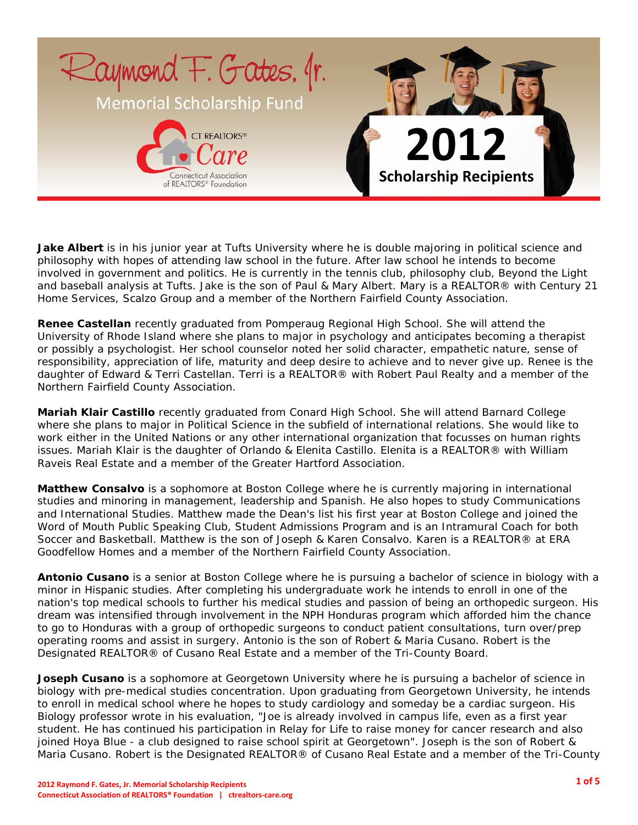

**Jake Albert** is in his junior year at Tufts University where he is double majoring in political science and philosophy with hopes of attending law school in the future. After law school he intends to become involved in government and politics. He is currently in the tennis club, philosophy club, Beyond the Light and baseball analysis at Tufts. Jake is the son of Paul & Mary Albert. Mary is a REALTOR® with Century 21 Home Services, Scalzo Group and a member of the Northern Fairfield County Association.

**Renee Castellan** recently graduated from Pomperaug Regional High School. She will attend the University of Rhode Island where she plans to major in psychology and anticipates becoming a therapist or possibly a psychologist. Her school counselor noted her solid character, empathetic nature, sense of responsibility, appreciation of life, maturity and deep desire to achieve and to never give up. Renee is the daughter of Edward & Terri Castellan. Terri is a REALTOR® with Robert Paul Realty and a member of the Northern Fairfield County Association.

**Mariah Klair Castillo** recently graduated from Conard High School. She will attend Barnard College where she plans to major in Political Science in the subfield of international relations. She would like to work either in the United Nations or any other international organization that focusses on human rights issues. Mariah Klair is the daughter of Orlando & Elenita Castillo. Elenita is a REALTOR® with William Raveis Real Estate and a member of the Greater Hartford Association.

**Matthew Consalvo** is a sophomore at Boston College where he is currently majoring in international studies and minoring in management, leadership and Spanish. He also hopes to study Communications and International Studies. Matthew made the Dean's list his first year at Boston College and joined the Word of Mouth Public Speaking Club, Student Admissions Program and is an Intramural Coach for both Soccer and Basketball. Matthew is the son of Joseph & Karen Consalvo. Karen is a REALTOR® at ERA Goodfellow Homes and a member of the Northern Fairfield County Association.

**Antonio Cusano** is a senior at Boston College where he is pursuing a bachelor of science in biology with a minor in Hispanic studies. After completing his undergraduate work he intends to enroll in one of the nation's top medical schools to further his medical studies and passion of being an orthopedic surgeon. His dream was intensified through involvement in the NPH Honduras program which afforded him the chance to go to Honduras with a group of orthopedic surgeons to conduct patient consultations, turn over/prep operating rooms and assist in surgery. Antonio is the son of Robert & Maria Cusano. Robert is the Designated REALTOR® of Cusano Real Estate and a member of the Tri-County Board.

**Joseph Cusano** is a sophomore at Georgetown University where he is pursuing a bachelor of science in biology with pre-medical studies concentration. Upon graduating from Georgetown University, he intends to enroll in medical school where he hopes to study cardiology and someday be a cardiac surgeon. His Biology professor wrote in his evaluation, "Joe is already involved in campus life, even as a first year student. He has continued his participation in Relay for Life to raise money for cancer research and also joined Hoya Blue - a club designed to raise school spirit at Georgetown". Joseph is the son of Robert & Maria Cusano. Robert is the Designated REALTOR® of Cusano Real Estate and a member of the Tri-County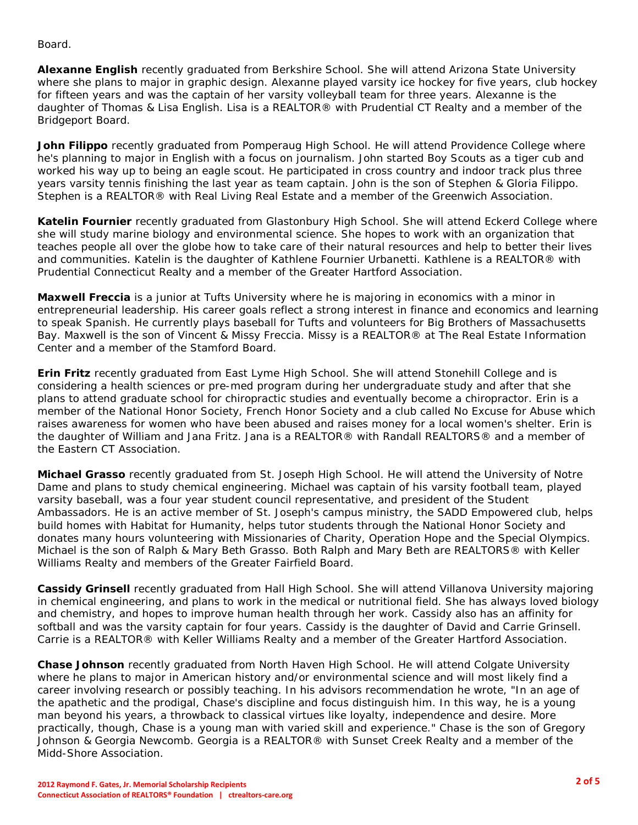Board.

**Alexanne English** recently graduated from Berkshire School. She will attend Arizona State University where she plans to major in graphic design. Alexanne played varsity ice hockey for five years, club hockey for fifteen years and was the captain of her varsity volleyball team for three years. Alexanne is the daughter of Thomas & Lisa English. Lisa is a REALTOR® with Prudential CT Realty and a member of the Bridgeport Board.

**John Filippo** recently graduated from Pomperaug High School. He will attend Providence College where he's planning to major in English with a focus on journalism. John started Boy Scouts as a tiger cub and worked his way up to being an eagle scout. He participated in cross country and indoor track plus three years varsity tennis finishing the last year as team captain. John is the son of Stephen & Gloria Filippo. Stephen is a REALTOR® with Real Living Real Estate and a member of the Greenwich Association.

**Katelin Fournier** recently graduated from Glastonbury High School. She will attend Eckerd College where she will study marine biology and environmental science. She hopes to work with an organization that teaches people all over the globe how to take care of their natural resources and help to better their lives and communities. Katelin is the daughter of Kathlene Fournier Urbanetti. Kathlene is a REALTOR® with Prudential Connecticut Realty and a member of the Greater Hartford Association.

**Maxwell Freccia** is a junior at Tufts University where he is majoring in economics with a minor in entrepreneurial leadership. His career goals reflect a strong interest in finance and economics and learning to speak Spanish. He currently plays baseball for Tufts and volunteers for Big Brothers of Massachusetts Bay. Maxwell is the son of Vincent & Missy Freccia. Missy is a REALTOR® at The Real Estate Information Center and a member of the Stamford Board.

**Erin Fritz** recently graduated from East Lyme High School. She will attend Stonehill College and is considering a health sciences or pre-med program during her undergraduate study and after that she plans to attend graduate school for chiropractic studies and eventually become a chiropractor. Erin is a member of the National Honor Society, French Honor Society and a club called No Excuse for Abuse which raises awareness for women who have been abused and raises money for a local women's shelter. Erin is the daughter of William and Jana Fritz. Jana is a REALTOR® with Randall REALTORS® and a member of the Eastern CT Association.

**Michael Grasso** recently graduated from St. Joseph High School. He will attend the University of Notre Dame and plans to study chemical engineering. Michael was captain of his varsity football team, played varsity baseball, was a four year student council representative, and president of the Student Ambassadors. He is an active member of St. Joseph's campus ministry, the SADD Empowered club, helps build homes with Habitat for Humanity, helps tutor students through the National Honor Society and donates many hours volunteering with Missionaries of Charity, Operation Hope and the Special Olympics. Michael is the son of Ralph & Mary Beth Grasso. Both Ralph and Mary Beth are REALTORS® with Keller Williams Realty and members of the Greater Fairfield Board.

**Cassidy Grinsell** recently graduated from Hall High School. She will attend Villanova University majoring in chemical engineering, and plans to work in the medical or nutritional field. She has always loved biology and chemistry, and hopes to improve human health through her work. Cassidy also has an affinity for softball and was the varsity captain for four years. Cassidy is the daughter of David and Carrie Grinsell. Carrie is a REALTOR® with Keller Williams Realty and a member of the Greater Hartford Association.

**Chase Johnson** recently graduated from North Haven High School. He will attend Colgate University where he plans to major in American history and/or environmental science and will most likely find a career involving research or possibly teaching. In his advisors recommendation he wrote, "In an age of the apathetic and the prodigal, Chase's discipline and focus distinguish him. In this way, he is a young man beyond his years, a throwback to classical virtues like loyalty, independence and desire. More practically, though, Chase is a young man with varied skill and experience." Chase is the son of Gregory Johnson & Georgia Newcomb. Georgia is a REALTOR® with Sunset Creek Realty and a member of the Midd-Shore Association.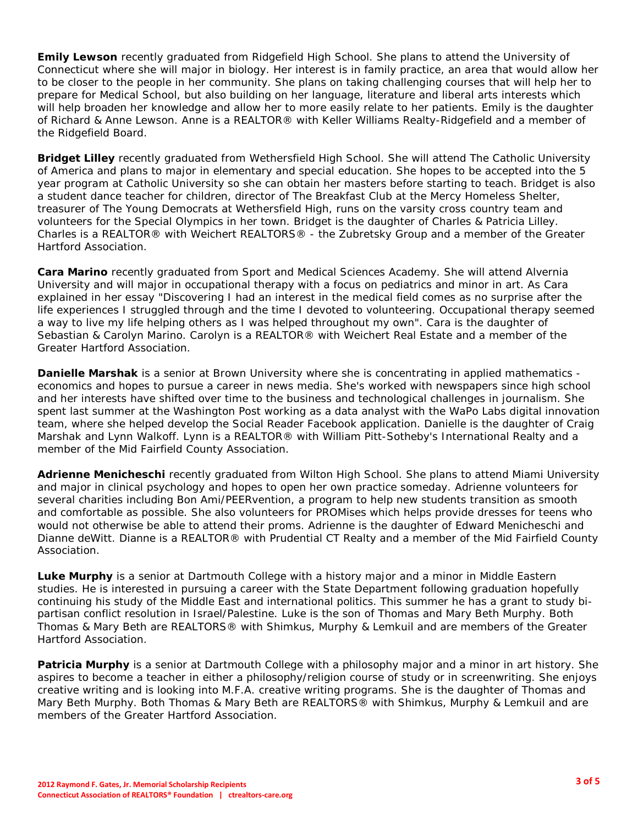**Emily Lewson** recently graduated from Ridgefield High School. She plans to attend the University of Connecticut where she will major in biology. Her interest is in family practice, an area that would allow her to be closer to the people in her community. She plans on taking challenging courses that will help her to prepare for Medical School, but also building on her language, literature and liberal arts interests which will help broaden her knowledge and allow her to more easily relate to her patients. Emily is the daughter of Richard & Anne Lewson. Anne is a REALTOR® with Keller Williams Realty-Ridgefield and a member of the Ridgefield Board.

**Bridget Lilley** recently graduated from Wethersfield High School. She will attend The Catholic University of America and plans to major in elementary and special education. She hopes to be accepted into the 5 year program at Catholic University so she can obtain her masters before starting to teach. Bridget is also a student dance teacher for children, director of The Breakfast Club at the Mercy Homeless Shelter, treasurer of The Young Democrats at Wethersfield High, runs on the varsity cross country team and volunteers for the Special Olympics in her town. Bridget is the daughter of Charles & Patricia Lilley. Charles is a REALTOR® with Weichert REALTORS® - the Zubretsky Group and a member of the Greater Hartford Association.

**Cara Marino** recently graduated from Sport and Medical Sciences Academy. She will attend Alvernia University and will major in occupational therapy with a focus on pediatrics and minor in art. As Cara explained in her essay "Discovering I had an interest in the medical field comes as no surprise after the life experiences I struggled through and the time I devoted to volunteering. Occupational therapy seemed a way to live my life helping others as I was helped throughout my own". Cara is the daughter of Sebastian & Carolyn Marino. Carolyn is a REALTOR® with Weichert Real Estate and a member of the Greater Hartford Association.

**Danielle Marshak** is a senior at Brown University where she is concentrating in applied mathematics economics and hopes to pursue a career in news media. She's worked with newspapers since high school and her interests have shifted over time to the business and technological challenges in journalism. She spent last summer at the Washington Post working as a data analyst with the WaPo Labs digital innovation team, where she helped develop the Social Reader Facebook application. Danielle is the daughter of Craig Marshak and Lynn Walkoff. Lynn is a REALTOR® with William Pitt-Sotheby's International Realty and a member of the Mid Fairfield County Association.

**Adrienne Menicheschi** recently graduated from Wilton High School. She plans to attend Miami University and major in clinical psychology and hopes to open her own practice someday. Adrienne volunteers for several charities including Bon Ami/PEERvention, a program to help new students transition as smooth and comfortable as possible. She also volunteers for PROMises which helps provide dresses for teens who would not otherwise be able to attend their proms. Adrienne is the daughter of Edward Menicheschi and Dianne deWitt. Dianne is a REALTOR® with Prudential CT Realty and a member of the Mid Fairfield County Association.

**Luke Murphy** is a senior at Dartmouth College with a history major and a minor in Middle Eastern studies. He is interested in pursuing a career with the State Department following graduation hopefully continuing his study of the Middle East and international politics. This summer he has a grant to study bipartisan conflict resolution in Israel/Palestine. Luke is the son of Thomas and Mary Beth Murphy. Both Thomas & Mary Beth are REALTORS® with Shimkus, Murphy & Lemkuil and are members of the Greater Hartford Association.

**Patricia Murphy** is a senior at Dartmouth College with a philosophy major and a minor in art history. She aspires to become a teacher in either a philosophy/religion course of study or in screenwriting. She enjoys creative writing and is looking into M.F.A. creative writing programs. She is the daughter of Thomas and Mary Beth Murphy. Both Thomas & Mary Beth are REALTORS® with Shimkus, Murphy & Lemkuil and are members of the Greater Hartford Association.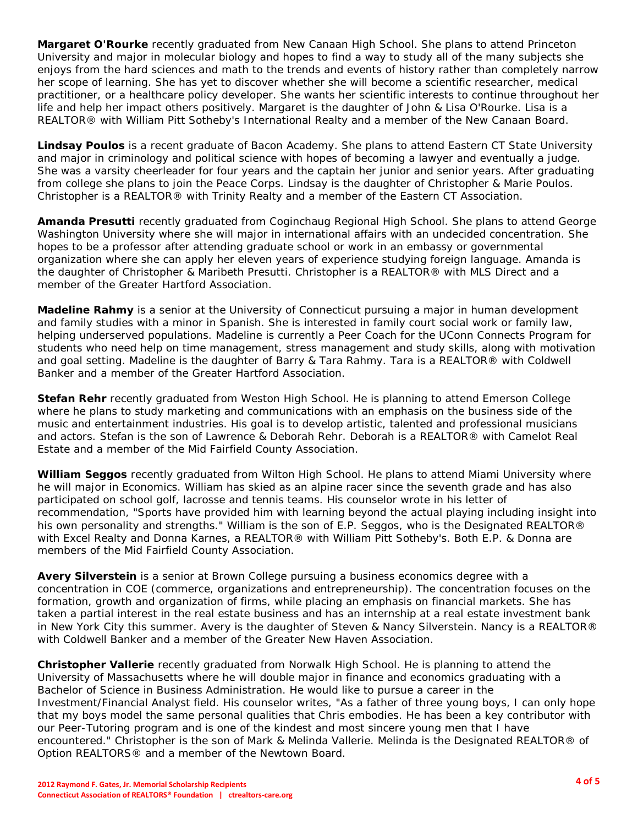**Margaret O'Rourke** recently graduated from New Canaan High School. She plans to attend Princeton University and major in molecular biology and hopes to find a way to study all of the many subjects she enjoys from the hard sciences and math to the trends and events of history rather than completely narrow her scope of learning. She has yet to discover whether she will become a scientific researcher, medical practitioner, or a healthcare policy developer. She wants her scientific interests to continue throughout her life and help her impact others positively. Margaret is the daughter of John & Lisa O'Rourke. Lisa is a REALTOR® with William Pitt Sotheby's International Realty and a member of the New Canaan Board.

**Lindsay Poulos** is a recent graduate of Bacon Academy. She plans to attend Eastern CT State University and major in criminology and political science with hopes of becoming a lawyer and eventually a judge. She was a varsity cheerleader for four years and the captain her junior and senior years. After graduating from college she plans to join the Peace Corps. Lindsay is the daughter of Christopher & Marie Poulos. Christopher is a REALTOR® with Trinity Realty and a member of the Eastern CT Association.

**Amanda Presutti** recently graduated from Coginchaug Regional High School. She plans to attend George Washington University where she will major in international affairs with an undecided concentration. She hopes to be a professor after attending graduate school or work in an embassy or governmental organization where she can apply her eleven years of experience studying foreign language. Amanda is the daughter of Christopher & Maribeth Presutti. Christopher is a REALTOR® with MLS Direct and a member of the Greater Hartford Association.

**Madeline Rahmy** is a senior at the University of Connecticut pursuing a major in human development and family studies with a minor in Spanish. She is interested in family court social work or family law, helping underserved populations. Madeline is currently a Peer Coach for the UConn Connects Program for students who need help on time management, stress management and study skills, along with motivation and goal setting. Madeline is the daughter of Barry & Tara Rahmy. Tara is a REALTOR® with Coldwell Banker and a member of the Greater Hartford Association.

**Stefan Rehr** recently graduated from Weston High School. He is planning to attend Emerson College where he plans to study marketing and communications with an emphasis on the business side of the music and entertainment industries. His goal is to develop artistic, talented and professional musicians and actors. Stefan is the son of Lawrence & Deborah Rehr. Deborah is a REALTOR® with Camelot Real Estate and a member of the Mid Fairfield County Association.

**William Seggos** recently graduated from Wilton High School. He plans to attend Miami University where he will major in Economics. William has skied as an alpine racer since the seventh grade and has also participated on school golf, lacrosse and tennis teams. His counselor wrote in his letter of recommendation, "Sports have provided him with learning beyond the actual playing including insight into his own personality and strengths." William is the son of E.P. Seggos, who is the Designated REALTOR® with Excel Realty and Donna Karnes, a REALTOR® with William Pitt Sotheby's. Both E.P. & Donna are members of the Mid Fairfield County Association.

**Avery Silverstein** is a senior at Brown College pursuing a business economics degree with a concentration in COE (commerce, organizations and entrepreneurship). The concentration focuses on the formation, growth and organization of firms, while placing an emphasis on financial markets. She has taken a partial interest in the real estate business and has an internship at a real estate investment bank in New York City this summer. Avery is the daughter of Steven & Nancy Silverstein. Nancy is a REALTOR® with Coldwell Banker and a member of the Greater New Haven Association.

**Christopher Vallerie** recently graduated from Norwalk High School. He is planning to attend the University of Massachusetts where he will double major in finance and economics graduating with a Bachelor of Science in Business Administration. He would like to pursue a career in the Investment/Financial Analyst field. His counselor writes, "As a father of three young boys, I can only hope that my boys model the same personal qualities that Chris embodies. He has been a key contributor with our Peer-Tutoring program and is one of the kindest and most sincere young men that I have encountered." Christopher is the son of Mark & Melinda Vallerie. Melinda is the Designated REALTOR® of Option REALTORS® and a member of the Newtown Board.